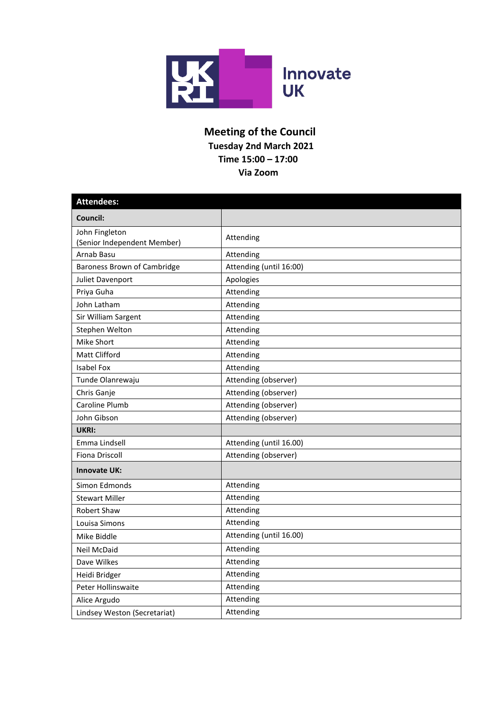

## **Meeting of the Council Tuesday 2nd March 2021 Time 15:00 – 17:00 Via Zoom**

| <b>Attendees:</b>                             |                         |  |  |
|-----------------------------------------------|-------------------------|--|--|
| Council:                                      |                         |  |  |
| John Fingleton<br>(Senior Independent Member) | Attending               |  |  |
| Arnab Basu                                    | Attending               |  |  |
| Baroness Brown of Cambridge                   | Attending (until 16:00) |  |  |
| Juliet Davenport                              | Apologies               |  |  |
| Priya Guha                                    | Attending               |  |  |
| John Latham                                   | Attending               |  |  |
| Sir William Sargent                           | Attending               |  |  |
| Stephen Welton                                | Attending               |  |  |
| Mike Short                                    | Attending               |  |  |
| <b>Matt Clifford</b>                          | Attending               |  |  |
| <b>Isabel Fox</b>                             | Attending               |  |  |
| Tunde Olanrewaju                              | Attending (observer)    |  |  |
| Chris Ganje                                   | Attending (observer)    |  |  |
| Caroline Plumb                                | Attending (observer)    |  |  |
| John Gibson                                   | Attending (observer)    |  |  |
| <b>UKRI:</b>                                  |                         |  |  |
| Emma Lindsell                                 | Attending (until 16.00) |  |  |
| <b>Fiona Driscoll</b>                         | Attending (observer)    |  |  |
| <b>Innovate UK:</b>                           |                         |  |  |
| Simon Edmonds                                 | Attending               |  |  |
| <b>Stewart Miller</b>                         | Attending               |  |  |
| <b>Robert Shaw</b>                            | Attending               |  |  |
| Louisa Simons                                 | Attending               |  |  |
| Mike Biddle                                   | Attending (until 16.00) |  |  |
| Neil McDaid                                   | Attending               |  |  |
| Dave Wilkes                                   | Attending               |  |  |
| Heidi Bridger                                 | Attending               |  |  |
| Peter Hollinswaite                            | Attending               |  |  |
| Alice Argudo                                  | Attending               |  |  |
| Lindsey Weston (Secretariat)                  | Attending               |  |  |